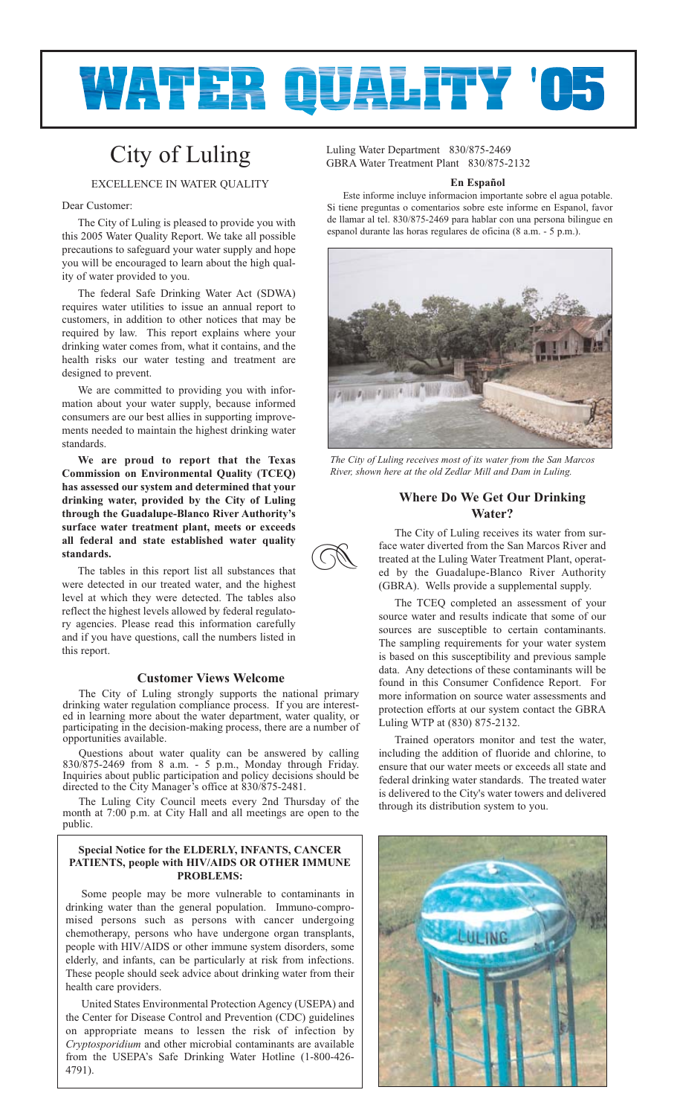

**z** 

# City of Luling

EXCELLENCE IN WATER QUALITY

### Dear Customer:

The City of Luling is pleased to provide you with this 2005 Water Quality Report. We take all possible precautions to safeguard your water supply and hope you will be encouraged to learn about the high quality of water provided to you.

The federal Safe Drinking Water Act (SDWA) requires water utilities to issue an annual report to customers, in addition to other notices that may be required by law. This report explains where your drinking water comes from, what it contains, and the health risks our water testing and treatment are designed to prevent.

We are committed to providing you with information about your water supply, because informed consumers are our best allies in supporting improvements needed to maintain the highest drinking water standards.

**We are proud to report that the Texas Commission on Environmental Quality (TCEQ) has assessed our system and determined that your drinking water, provided by the City of Luling through the Guadalupe-Blanco River Authority's surface water treatment plant, meets or exceeds all federal and state established water quality standards.**

The tables in this report list all substances that were detected in our treated water, and the highest level at which they were detected. The tables also reflect the highest levels allowed by federal regulatory agencies. Please read this information carefully and if you have questions, call the numbers listed in this report.

# **Customer Views Welcome**

The City of Luling strongly supports the national primary drinking water regulation compliance process. If you are interested in learning more about the water department, water quality, or participating in the decision-making process, there are a number of opportunities available.

Questions about water quality can be answered by calling 830/875-2469 from 8 a.m. - 5 p.m., Monday through Friday. Inquiries about public participation and policy decisions should be directed to the City Manager's office at 830/875-2481.

The Luling City Council meets every 2nd Thursday of the month at 7:00 p.m. at City Hall and all meetings are open to the public.

# **Special Notice for the ELDERLY, INFANTS, CANCER PATIENTS, people with HIV/AIDS OR OTHER IMMUNE PROBLEMS:**

Some people may be more vulnerable to contaminants in drinking water than the general population. Immuno-compromised persons such as persons with cancer undergoing chemotherapy, persons who have undergone organ transplants, people with HIV/AIDS or other immune system disorders, some elderly, and infants, can be particularly at risk from infections. These people should seek advice about drinking water from their health care providers.

United States Environmental Protection Agency (USEPA) and the Center for Disease Control and Prevention (CDC) guidelines on appropriate means to lessen the risk of infection by *Cryptosporidium* and other microbial contaminants are available from the USEPA's Safe Drinking Water Hotline (1-800-426- 4791).

Luling Water Department 830/875-2469 GBRA Water Treatment Plant 830/875-2132

## **En Español**

Este informe incluye informacion importante sobre el agua potable. Si tiene preguntas o comentarios sobre este informe en Espanol, favor de llamar al tel. 830/875-2469 para hablar con una persona bilingue en espanol durante las horas regulares de oficina (8 a.m. - 5 p.m.).



*The City of Luling receives most of its water from the San Marcos River, shown here at the old Zedlar Mill and Dam in Luling.*

# **Where Do We Get Our Drinking Water?**

The City of Luling receives its water from surface water diverted from the San Marcos River and treated at the Luling Water Treatment Plant, operated by the Guadalupe-Blanco River Authority (GBRA). Wells provide a supplemental supply.

The TCEQ completed an assessment of your source water and results indicate that some of our sources are susceptible to certain contaminants. The sampling requirements for your water system is based on this susceptibility and previous sample data. Any detections of these contaminants will be found in this Consumer Confidence Report. For more information on source water assessments and protection efforts at our system contact the GBRA Luling WTP at (830) 875-2132.

Trained operators monitor and test the water, including the addition of fluoride and chlorine, to ensure that our water meets or exceeds all state and federal drinking water standards. The treated water is delivered to the City's water towers and delivered through its distribution system to you.